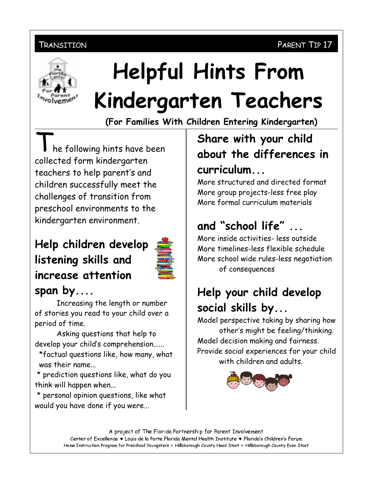#### PARENT TIP 17

#### TRANSITION



# **Helpful Hints From** Kindergarten Teachers

(For Families With Children Entering Kindergarten)

he following hints have been collected form kindergarten teachers to help parent's and children successfully meet the challenges of transition from preschool environments to the kindergarten environment.

## Help children develop listening skills and increase attention



#### span by....

Increasing the length or number of stories you read to your child over a period of time.

Asking questions that help to develop your child's comprehension......

\*factual questions like, how many, what was their name...

\* prediction questions like, what do you think will happen when...

\* personal opinion questions, like what would you have done if you were...

## Share with your child about the differences in curriculum...

More structured and directed format More group projects-less free play More formal curriculum materials

## and "school life" ...

More inside activities- less outside More timelines-less flexible schedule More school wide rules-less negotiation of consequences

### Help your child develop social skills by...

Model perspective taking by sharing how other's might be feeling/thinking. Model decision making and fairness. Provide social experiences for your child with children and adults.



A project of The Florida Partnership for Parent Involvement Center of Excellence ◆ Louis de la Parte Florida Mental Health Institute ◆ Florida's Children's Forum Home Instruction Program for Preschool Youngsters & Hillsborough County Head Start & Hillsborough County Even Start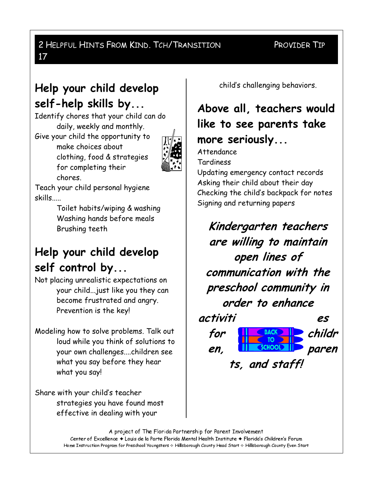#### 2 HELPFUL HINTS FROM KIND. TCH/TRANSITION 17

#### PROVIDER TIP

## Help your child develop self-help skills by...

Identify chores that your child can do daily, weekly and monthly.

Give your child the opportunity to make choices about clothing, food & strategies for completing their chores.



Teach your child personal hygiene skills.....

> Toilet habits/wiping & washing Washing hands before meals Brushing teeth

### Help your child develop self control by...

Not placing unrealistic expectations on your child...just like you they can become frustrated and angry. Prevention is the key!

Modeling how to solve problems. Talk out loud while you think of solutions to your own challenges....children see what you say before they hear what you say!

Share with your child's teacher strategies you have found most effective in dealing with your

child's challenging behaviors.

## Above all, teachers would like to see parents take more seriously...

Attendance **Tardiness** 

Updating emergency contact records Asking their child about their day Checking the child's backpack for notes Signing and returning papers

Kindergarten teachers are willing to maintain open lines of communication with the preschool community in order to enhance



A project of The Florida Partnership for Parent Involvement Center of Excellence + Louis de la Parte Florida Mental Health Institute + Florida's Children's Forum Home Instruction Program for Preschool Youngsters & Hillsborough County Head Start & Hillsborough County Even Start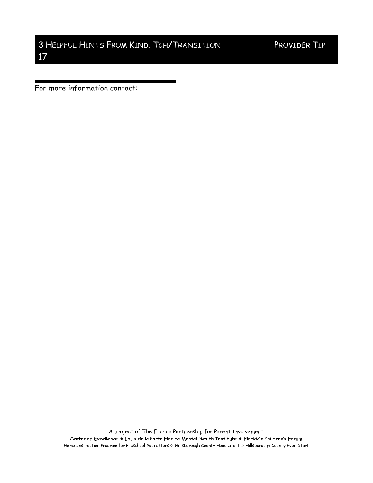#### 3 HELPFUL HINTS FROM KIND. TCH/TRANSITION 17

For more information contact:

A project of The Florida Partnership for Parent Involvement Center of Excellence + Louis de la Parte Florida Mental Health Institute + Florida's Children's Forum Home Instruction Program for Preschool Youngsters & Hillsborough County Head Start & Hillsborough County Even Start

PROVIDER TIP